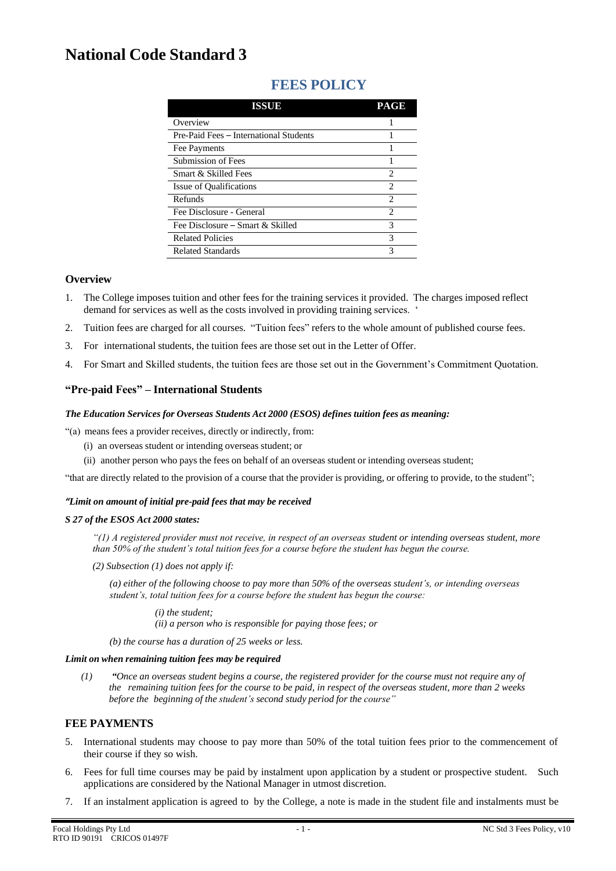# **National Code Standard 3**

| ISSUE                                  | PAGE |
|----------------------------------------|------|
| Overview                               |      |
| Pre-Paid Fees – International Students |      |
| Fee Payments                           |      |
| Submission of Fees                     |      |
| Smart & Skilled Fees                   | 2    |
| Issue of Qualifications                | 2    |
| Refunds                                | 2    |
| Fee Disclosure - General               | 2    |
| Fee Disclosure – Smart & Skilled       | 3    |
| <b>Related Policies</b>                | 3    |
| <b>Related Standards</b>               | 3    |

# **FEES POLICY**

### **Overview**

- 1. The College imposes tuition and other fees for the training services it provided. The charges imposed reflect demand for services as well as the costs involved in providing training services. '
- 2. Tuition fees are charged for all courses. "Tuition fees" refers to the whole amount of published course fees.
- 3. For international students, the tuition fees are those set out in the Letter of Offer.
- 4. For Smart and Skilled students, the tuition fees are those set out in the Government's Commitment Quotation.

# **"Pre-paid Fees" – International Students**

#### *The Education Services for Overseas Students Act 2000 (ESOS) defines tuition fees as meaning:*

"(a) means fees a provider receives, directly or indirectly, from:

- (i) an overseas student or intending overseas student; or
- (ii) another person who pays the fees on behalf of an overseas student or intending overseas student;

"that are directly related to the provision of a course that the provider is providing, or offering to provide, to the student";

#### *"Limit on amount of initial pre-paid fees that may be received*

#### *S 27 of the ESOS Act 2000 states:*

*"(1) A registered provider must not receive, in respect of an overseas student or intending overseas student, more than 50% of the student's total tuition fees for a course before the student has begun the course.*

*(2) Subsection (1) does not apply if:*

*(a) either of the following choose to pay more than 50% of the overseas student's, or intending overseas student's, total tuition fees for a course before the student has begun the course:*

> *(i) the student; (ii) a person who is responsible for paying those fees; or*

*(b) the course has a duration of 25 weeks or less.*

#### *Limit on when remaining tuition fees may be required*

(1)  $\bullet$  "Once an overseas student begins a course, the registered provider for the course must not require any of the remaining tuition fees for the course to be paid, in respect of the overseas student, more than 2 weeks *before the beginning of the student's second study period for the course"*

# **FEE PAYMENTS**

- 5. International students may choose to pay more than 50% of the total tuition fees prior to the commencement of their course if they so wish.
- 6. Fees for full time courses may be paid by instalment upon application by a student or prospective student. Such applications are considered by the National Manager in utmost discretion.
- 7. If an instalment application is agreed to by the College, a note is made in the student file and instalments must be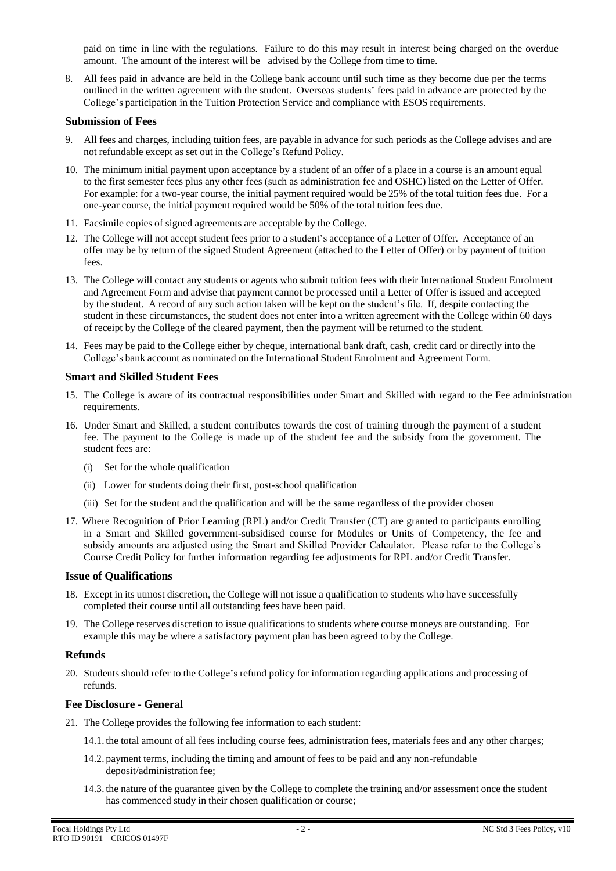paid on time in line with the regulations. Failure to do this may result in interest being charged on the overdue amount. The amount of the interest will be advised by the College from time to time.

8. All fees paid in advance are held in the College bank account until such time as they become due per the terms outlined in the written agreement with the student. Overseas students' fees paid in advance are protected by the College's participation in the Tuition Protection Service and compliance with ESOS requirements.

#### **Submission of Fees**

- 9. All fees and charges, including tuition fees, are payable in advance for such periods as the College advises and are not refundable except as set out in the College's Refund Policy.
- 10. The minimum initial payment upon acceptance by a student of an offer of a place in a course is an amount equal to the first semester fees plus any other fees (such as administration fee and OSHC) listed on the Letter of Offer. For example: for a two-year course, the initial payment required would be 25% of the total tuition fees due. For a one-year course, the initial payment required would be 50% of the total tuition fees due.
- 11. Facsimile copies of signed agreements are acceptable by the College.
- 12. The College will not accept student fees prior to a student's acceptance of a Letter of Offer. Acceptance of an offer may be by return of the signed Student Agreement (attached to the Letter of Offer) or by payment of tuition fees.
- 13. The College will contact any students or agents who submit tuition fees with their International Student Enrolment and Agreement Form and advise that payment cannot be processed until a Letter of Offer is issued and accepted by the student. A record of any such action taken will be kept on the student's file. If, despite contacting the student in these circumstances, the student does not enter into a written agreement with the College within 60 days of receipt by the College of the cleared payment, then the payment will be returned to the student.
- 14. Fees may be paid to the College either by cheque, international bank draft, cash, credit card or directly into the College's bank account as nominated on the International Student Enrolment and Agreement Form.

#### **Smart and Skilled Student Fees**

- 15. The College is aware of its contractual responsibilities under Smart and Skilled with regard to the Fee administration requirements.
- 16. Under Smart and Skilled, a student contributes towards the cost of training through the payment of a student fee. The payment to the College is made up of the student fee and the subsidy from the government. The student fees are:
	- (i) Set for the whole qualification
	- (ii) Lower for students doing their first, post-school qualification
	- (iii) Set for the student and the qualification and will be the same regardless of the provider chosen
- 17. Where Recognition of Prior Learning (RPL) and/or Credit Transfer (CT) are granted to participants enrolling in a Smart and Skilled government-subsidised course for Modules or Units of Competency, the fee and subsidy amounts are adjusted using the Smart and Skilled Provider Calculator. Please refer to the College's Course Credit Policy for further information regarding fee adjustments for RPL and/or Credit Transfer.

#### **Issue of Qualifications**

- 18. Except in its utmost discretion, the College will not issue a qualification to students who have successfully completed their course until all outstanding fees have been paid.
- 19. The College reserves discretion to issue qualifications to students where course moneys are outstanding. For example this may be where a satisfactory payment plan has been agreed to by the College.

#### **Refunds**

20. Students should refer to the College's refund policy for information regarding applications and processing of refunds.

# **Fee Disclosure - General**

- 21. The College provides the following fee information to each student:
	- 14.1. the total amount of all fees including course fees, administration fees, materials fees and any other charges;
	- 14.2. payment terms, including the timing and amount of fees to be paid and any non-refundable deposit/administration fee;
	- 14.3. the nature of the guarantee given by the College to complete the training and/or assessment once the student has commenced study in their chosen qualification or course;